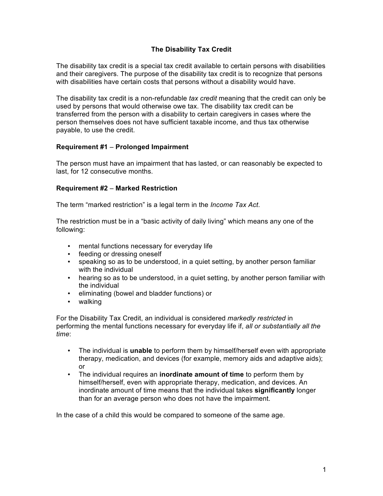# **The Disability Tax Credit**

The disability tax credit is a special tax credit available to certain persons with disabilities and their caregivers. The purpose of the disability tax credit is to recognize that persons with disabilities have certain costs that persons without a disability would have.

The disability tax credit is a non-refundable *tax credit* meaning that the credit can only be used by persons that would otherwise owe tax. The disability tax credit can be transferred from the person with a disability to certain caregivers in cases where the person themselves does not have sufficient taxable income, and thus tax otherwise payable, to use the credit.

### **Requirement #1** – **Prolonged Impairment**

The person must have an impairment that has lasted, or can reasonably be expected to last, for 12 consecutive months.

### **Requirement #2** – **Marked Restriction**

The term "marked restriction" is a legal term in the *Income Tax Act*.

The restriction must be in a "basic activity of daily living" which means any one of the following:

- mental functions necessary for everyday life
- feeding or dressing oneself
- speaking so as to be understood, in a quiet setting, by another person familiar with the individual
- hearing so as to be understood, in a quiet setting, by another person familiar with the individual
- eliminating (bowel and bladder functions) or
- walking

For the Disability Tax Credit, an individual is considered *markedly restricted* in performing the mental functions necessary for everyday life if, *all or substantially all the time*:

- The individual is **unable** to perform them by himself/herself even with appropriate therapy, medication, and devices (for example, memory aids and adaptive aids); or
- The individual requires an **inordinate amount of time** to perform them by himself/herself, even with appropriate therapy, medication, and devices. An inordinate amount of time means that the individual takes **significantly** longer than for an average person who does not have the impairment.

In the case of a child this would be compared to someone of the same age.